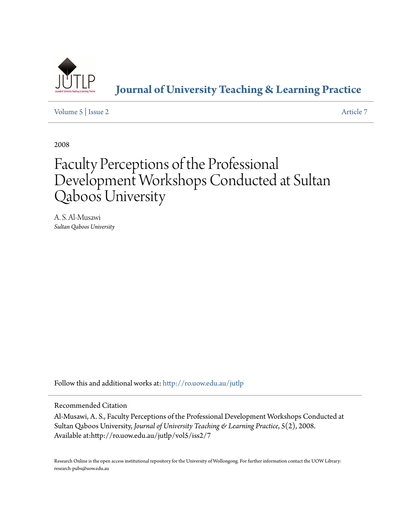

**[Journal of University Teaching & Learning Practice](http://ro.uow.edu.au/jutlp?utm_source=ro.uow.edu.au%2Fjutlp%2Fvol5%2Fiss2%2F7&utm_medium=PDF&utm_campaign=PDFCoverPages)**

[Volume 5](http://ro.uow.edu.au/jutlp/vol5?utm_source=ro.uow.edu.au%2Fjutlp%2Fvol5%2Fiss2%2F7&utm_medium=PDF&utm_campaign=PDFCoverPages) | [Issue 2](http://ro.uow.edu.au/jutlp/vol5/iss2?utm_source=ro.uow.edu.au%2Fjutlp%2Fvol5%2Fiss2%2F7&utm_medium=PDF&utm_campaign=PDFCoverPages) [Article 7](http://ro.uow.edu.au/jutlp/vol5/iss2/7?utm_source=ro.uow.edu.au%2Fjutlp%2Fvol5%2Fiss2%2F7&utm_medium=PDF&utm_campaign=PDFCoverPages)

2008

# Faculty Perceptions of the Professional Development Workshops Conducted at Sultan Qaboos University

A. S. Al-Musawi *Sultan Qaboos University*

Follow this and additional works at: [http://ro.uow.edu.au/jutlp](http://ro.uow.edu.au/jutlp?utm_source=ro.uow.edu.au%2Fjutlp%2Fvol5%2Fiss2%2F7&utm_medium=PDF&utm_campaign=PDFCoverPages)

Recommended Citation

Al-Musawi, A. S., Faculty Perceptions of the Professional Development Workshops Conducted at Sultan Qaboos University, *Journal of University Teaching & Learning Practice*, 5(2), 2008. Available at:http://ro.uow.edu.au/jutlp/vol5/iss2/7

Research Online is the open access institutional repository for the University of Wollongong. For further information contact the UOW Library: research-pubs@uow.edu.au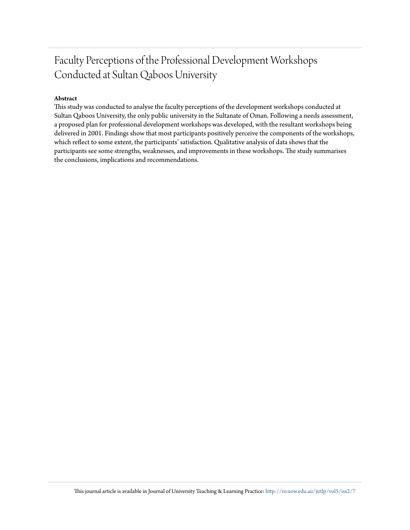#### **Abstract**

This study was conducted to analyse the faculty perceptions of the development workshops conducted at Sultan Qaboos University, the only public university in the Sultanate of Oman. Following a needs assessment, a proposed plan for professional development workshops was developed, with the resultant workshops being delivered in 2001. Findings show that most participants positively perceive the components of the workshops, which reflect to some extent, the participants' satisfaction. Qualitative analysis of data shows that the participants see some strengths, weaknesses, and improvements in these workshops. The study summarises the conclusions, implications and recommendations.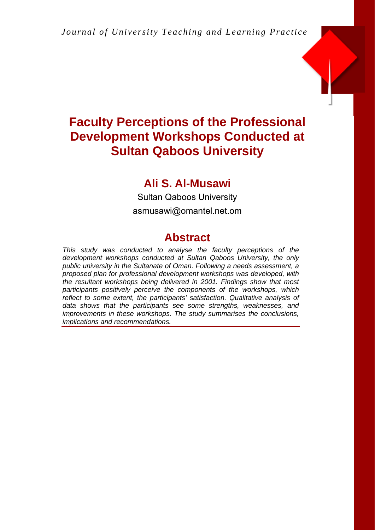

## **Ali S. Al-Musawi**

Sultan Qaboos University asmusawi@omantel.net.om

## **Abstract**

*This study was conducted to analyse the faculty perceptions of the development workshops conducted at Sultan Qaboos University, the only public university in the Sultanate of Oman. Following a needs assessment, a proposed plan for professional development workshops was developed, with the resultant workshops being delivered in 2001. Findings show that most participants positively perceive the components of the workshops, which reflect to some extent, the participants' satisfaction. Qualitative analysis of data shows that the participants see some strengths, weaknesses, and improvements in these workshops. The study summarises the conclusions, implications and recommendations.*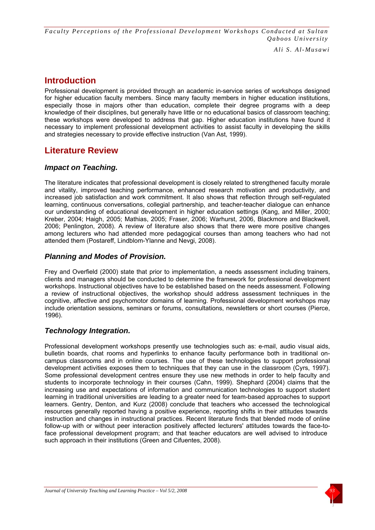*Ali S. Al-Musawi*

## **Introduction**

Professional development is provided through an academic in-service series of workshops designed for higher education faculty members. Since many faculty members in higher education institutions, especially those in majors other than education, complete their degree programs with a deep knowledge of their disciplines, but generally have little or no educational basics of classroom teaching; these workshops were developed to address that gap. Higher education institutions have found it necessary to implement professional development activities to assist faculty in developing the skills and strategies necessary to provide effective instruction (Van Ast, 1999).

## **Literature Review**

#### *Impact on Teaching.*

The literature indicates that professional development is closely related to strengthened faculty morale and vitality, improved teaching performance, enhanced research motivation and productivity, and increased job satisfaction and work commitment. It also shows that reflection through self-regulated learning, continuous conversations, collegial partnership, and teacher-teacher dialogue can enhance our understanding of educational development in higher education settings (Kang, and Miller, 2000; Kreber, 2004; Haigh, 2005; Mathias, 2005; Fraser, 2006; Warhurst, 2006, Blackmore and Blackwell, 2006; Penlington, 2008). A review of literature also shows that there were more positive changes among lecturers who had attended more pedagogical courses than among teachers who had not attended them (Postareff, Lindblom-Ylanne and Nevgi, 2008).

#### *Planning and Modes of Provision.*

Frey and Overfield (2000) state that prior to implementation, a needs assessment including trainers, clients and managers should be conducted to determine the framework for professional development workshops. Instructional objectives have to be established based on the needs assessment. Following a review of instructional objectives, the workshop should address assessment techniques in the cognitive, affective and psychomotor domains of learning. Professional development workshops may include orientation sessions, seminars or forums, consultations, newsletters or short courses (Pierce, 1996).

#### *Technology Integration.*

Professional development workshops presently use technologies such as: e-mail, audio visual aids, bulletin boards, chat rooms and hyperlinks to enhance faculty performance both in traditional oncampus classrooms and in online courses. The use of these technologies to support professional development activities exposes them to techniques that they can use in the classroom (Cyrs, 1997). Some professional development centres ensure they use new methods in order to help faculty and students to incorporate technology in their courses (Cahn, 1999). Shephard (2004) claims that the increasing use and expectations of information and communication technologies to support student learning in traditional universities are leading to a greater need for team-based approaches to support learners. Gentry, Denton, and Kurz (2008) conclude that teachers who accessed the technological resources generally reported having a positive experience, reporting shifts in their attitudes towards instruction and changes in instructional practices. Recent literature finds that blended mode of online follow-up with or without peer interaction positively affected lecturers' attitudes towards the face-toface professional development program; and that teacher educators are well advised to introduce such approach in their institutions (Green and Cifuentes, 2008).

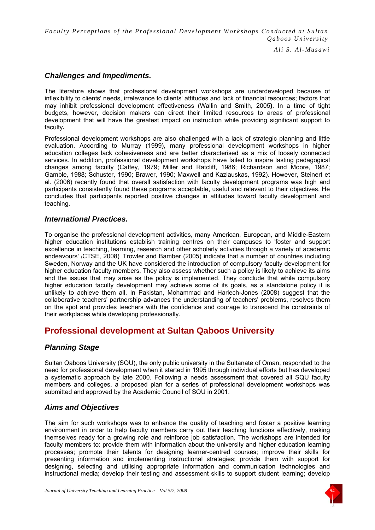*Ali S. Al-Musawi*

#### *Challenges and Impediments.*

The literature shows that professional development workshops are underdeveloped because of inflexibility to clients' needs, irrelevance to clients' attitudes and lack of financial resources; factors that may inhibit professional development effectiveness (Wallin and Smith, 2005**)**. In a time of tight budgets, however, decision makers can direct their limited resources to areas of professional development that will have the greatest impact on instruction while providing significant support to faculty**.** 

Professional development workshops are also challenged with a lack of strategic planning and little evaluation. According to Murray (1999), many professional development workshops in higher education colleges lack cohesiveness and are better characterised as a mix of loosely connected services. In addition, professional development workshops have failed to inspire lasting pedagogical changes among faculty (Caffey, 1979; Miller and Ratcliff, 1986; Richardson and Moore, 1987; Gamble, 1988; Schuster, 1990; Brawer, 1990; Maxwell and Kazlauskas, 1992). However, Steinert et al. (2006) recently found that overall satisfaction with faculty development programs was high and participants consistently found these programs acceptable, useful and relevant to their objectives. He concludes that participants reported positive changes in attitudes toward faculty development and teaching.

#### *International Practices.*

To organise the professional development activities, many American, European, and Middle-Eastern higher education institutions establish training centres on their campuses to 'foster and support excellence in teaching, learning, research and other scholarly activities through a variety of academic endeavours' (CTSE, 2008). Trowler and Bamber (2005) indicate that a number of countries including Sweden, Norway and the UK have considered the introduction of compulsory faculty development for higher education faculty members. They also assess whether such a policy is likely to achieve its aims and the issues that may arise as the policy is implemented. They conclude that while compulsory higher education faculty development may achieve some of its goals, as a standalone policy it is unlikely to achieve them all. In Pakistan, Mohammad and Harlech-Jones (2008) suggest that the collaborative teachers' partnership advances the understanding of teachers' problems, resolves them on the spot and provides teachers with the confidence and courage to transcend the constraints of their workplaces while developing professionally.

## **Professional development at Sultan Qaboos University**

#### *Planning Stage*

Sultan Qaboos University (SQU), the only public university in the Sultanate of Oman, responded to the need for professional development when it started in 1995 through individual efforts but has developed a systematic approach by late 2000. Following a needs assessment that covered all SQU faculty members and colleges, a proposed plan for a series of professional development workshops was submitted and approved by the Academic Council of SQU in 2001.

#### *Aims and Objectives*

The aim for such workshops was to enhance the quality of teaching and foster a positive learning environment in order to help faculty members carry out their teaching functions effectively, making themselves ready for a growing role and reinforce job satisfaction. The workshops are intended for faculty members to: provide them with information about the university and higher education learning processes; promote their talents for designing learner-centred courses; improve their skills for presenting information and implementing instructional strategies; provide them with support for designing, selecting and utilising appropriate information and communication technologies and instructional media; develop their testing and assessment skills to support student learning; develop

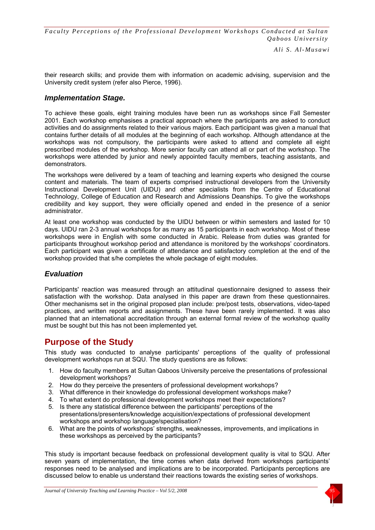*Ali S. Al-Musawi*

their research skills; and provide them with information on academic advising, supervision and the University credit system (refer also Pierce, 1996).

#### *Implementation Stage.*

To achieve these goals, eight training modules have been run as workshops since Fall Semester 2001. Each workshop emphasises a practical approach where the participants are asked to conduct activities and do assignments related to their various majors. Each participant was given a manual that contains further details of all modules at the beginning of each workshop. Although attendance at the workshops was not compulsory, the participants were asked to attend and complete all eight prescribed modules of the workshop. More senior faculty can attend all or part of the workshop. The workshops were attended by junior and newly appointed faculty members, teaching assistants, and demonstrators.

The workshops were delivered by a team of teaching and learning experts who designed the course content and materials. The team of experts comprised instructional developers from the University Instructional Development Unit (UIDU) and other specialists from the Centre of Educational Technology, College of Education and Research and Admissions Deanships. To give the workshops credibility and key support, they were officially opened and ended in the presence of a senior administrator.

At least one workshop was conducted by the UIDU between or within semesters and lasted for 10 days. UIDU ran 2-3 annual workshops for as many as 15 participants in each workshop. Most of these workshops were in English with some conducted in Arabic. Release from duties was granted for participants throughout workshop period and attendance is monitored by the workshops' coordinators. Each participant was given a certificate of attendance and satisfactory completion at the end of the workshop provided that s/he completes the whole package of eight modules.

#### *Evaluation*

Participants' reaction was measured through an attitudinal questionnaire designed to assess their satisfaction with the workshop. Data analysed in this paper are drawn from these questionnaires. Other mechanisms set in the original proposed plan include: pre/post tests, observations, video-taped practices, and written reports and assignments. These have been rarely implemented. It was also planned that an international accreditation through an external formal review of the workshop quality must be sought but this has not been implemented yet.

## **Purpose of the Study**

This study was conducted to analyse participants' perceptions of the quality of professional development workshops run at SQU. The study questions are as follows:

- 1. How do faculty members at Sultan Qaboos University perceive the presentations of professional development workshops?
- 2. How do they perceive the presenters of professional development workshops?
- 3. What difference in their knowledge do professional development workshops make?
- 4. To what extent do professional development workshops meet their expectations?
- 5. Is there any statistical difference between the participants' perceptions of the presentations/presenters/knowledge acquisition/expectations of professional development workshops and workshop language/specialisation?
- 6. What are the points of workshops' strengths, weaknesses, improvements, and implications in these workshops as perceived by the participants?

This study is important because feedback on professional development quality is vital to SQU. After seven years of implementation, the time comes when data derived from workshops participants' responses need to be analysed and implications are to be incorporated. Participants perceptions are discussed below to enable us understand their reactions towards the existing series of workshops.

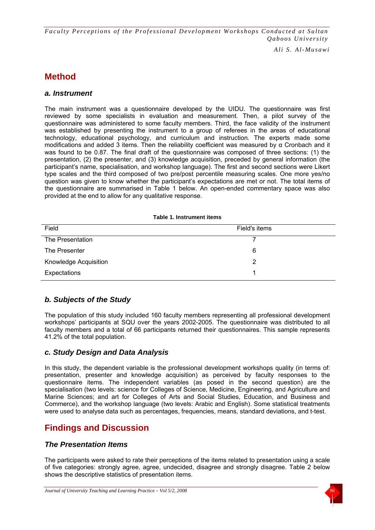*Ali S. Al-Musawi*

## **Method**

#### *a. Instrument*

The main instrument was a questionnaire developed by the UIDU. The questionnaire was first reviewed by some specialists in evaluation and measurement. Then, a pilot survey of the questionnaire was administered to some faculty members. Third, the face validity of the instrument was established by presenting the instrument to a group of referees in the areas of educational technology, educational psychology, and curriculum and instruction. The experts made some modifications and added 3 items. Then the reliability coefficient was measured by  $\alpha$  Cronbach and it was found to be 0.87. The final draft of the questionnaire was composed of three sections: (1) the presentation, (2) the presenter, and (3) knowledge acquisition, preceded by general information (the participant's name, specialisation, and workshop language). The first and second sections were Likert type scales and the third composed of two pre/post percentile measuring scales. One more yes/no question was given to know whether the participant's expectations are met or not. The total items of the questionnaire are summarised in Table 1 below. An open-ended commentary space was also provided at the end to allow for any qualitative response.

| Field                 | Field's items |  |
|-----------------------|---------------|--|
| The Presentation      |               |  |
| The Presenter         | 6             |  |
| Knowledge Acquisition | 2             |  |
| Expectations          |               |  |

#### **Table 1. Instrument items**

#### *b. Subjects of the Study*

The population of this study included 160 faculty members representing all professional development workshops' participants at SQU over the years 2002-2005. The questionnaire was distributed to all faculty members and a total of 66 participants returned their questionnaires. This sample represents 41.2% of the total population.

#### *c. Study Design and Data Analysis*

In this study, the dependent variable is the professional development workshops quality (in terms of: presentation, presenter and knowledge acquisition) as perceived by faculty responses to the questionnaire items. The independent variables (as posed in the second question) are the specialisation (two levels: science for Colleges of Science, Medicine, Engineering, and Agriculture and Marine Sciences; and art for Colleges of Arts and Social Studies, Education, and Business and Commerce), and the workshop language (two levels: Arabic and English). Some statistical treatments were used to analyse data such as percentages, frequencies, means, standard deviations, and t-test.

## **Findings and Discussion**

#### *The Presentation Items*

The participants were asked to rate their perceptions of the items related to presentation using a scale of five categories: strongly agree, agree, undecided, disagree and strongly disagree. Table 2 below shows the descriptive statistics of presentation items.

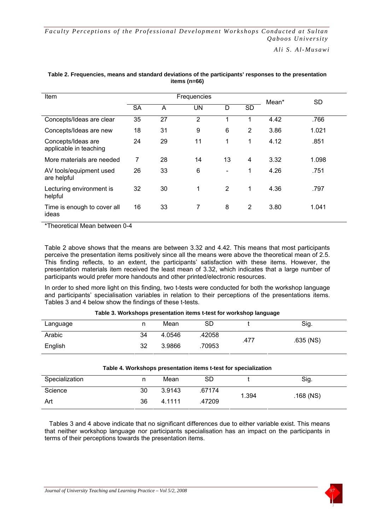*Ali S. Al-Musawi*

| Item                                         | Frequencies |    |                |                          |                | Mean* | <b>SD</b> |
|----------------------------------------------|-------------|----|----------------|--------------------------|----------------|-------|-----------|
|                                              | <b>SA</b>   | A  | <b>UN</b>      | D                        | <b>SD</b>      |       |           |
| Concepts/Ideas are clear                     | 35          | 27 | $\overline{2}$ | 1                        | 1              | 4.42  | .766      |
| Concepts/Ideas are new                       | 18          | 31 | 9              | 6                        | $\overline{2}$ | 3.86  | 1.021     |
| Concepts/Ideas are<br>applicable in teaching | 24          | 29 | 11             | 1                        | $\mathbf 1$    | 4.12  | .851      |
| More materials are needed                    | 7           | 28 | 14             | 13                       | 4              | 3.32  | 1.098     |
| AV tools/equipment used<br>are helpful       | 26          | 33 | 6              | $\overline{\phantom{0}}$ | 1              | 4.26  | .751      |
| Lecturing environment is<br>helpful          | 32          | 30 | 1              | $\overline{2}$           | 1              | 4.36  | .797      |
| Time is enough to cover all<br>ideas         | 16          | 33 | 7              | 8                        | 2              | 3.80  | 1.041     |

#### **Table 2. Frequencies, means and standard deviations of the participants' responses to the presentation items (n=66)**

\*Theoretical Mean between 0-4

Table 2 above shows that the means are between 3.32 and 4.42. This means that most participants perceive the presentation items positively since all the means were above the theoretical mean of 2.5. This finding reflects, to an extent, the participants' satisfaction with these items. However, the presentation materials item received the least mean of 3.32, which indicates that a large number of participants would prefer more handouts and other printed/electronic resources.

In order to shed more light on this finding, two t-tests were conducted for both the workshop language and participants' specialisation variables in relation to their perceptions of the presentations items. Tables 3 and 4 below show the findings of these t-tests.

#### **Table 3. Workshops presentation items t-test for workshop language**

| Language |    | Mean   | SD     |      | Sig.        |
|----------|----|--------|--------|------|-------------|
| Arabic   | 34 | 4.0546 | .42058 | .477 | $.635$ (NS) |
| English  | 32 | 3.9866 | .70953 |      |             |

| Table 4. Workshops presentation items t-test for specialization |    |        |        |       |             |
|-----------------------------------------------------------------|----|--------|--------|-------|-------------|
| Specialization                                                  |    | Mean   | SD     |       | Sig.        |
| Science                                                         | 30 | 3.9143 | .67174 | 1.394 | $.168$ (NS) |
| Art                                                             | 36 | 4 1111 | .47209 |       |             |

Tables 3 and 4 above indicate that no significant differences due to either variable exist. This means that neither workshop language nor participants specialisation has an impact on the participants in terms of their perceptions towards the presentation items.

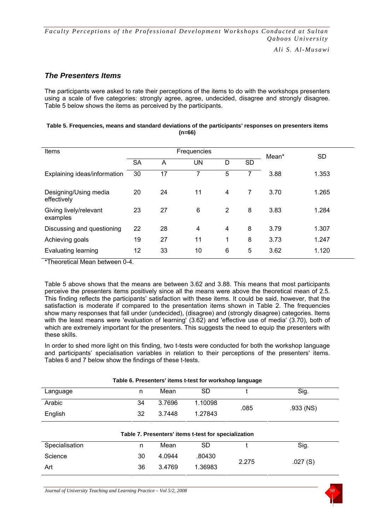#### *The Presenters Items*

The participants were asked to rate their perceptions of the items to do with the workshops presenters using a scale of five categories: strongly agree, agree, undecided, disagree and strongly disagree. Table 5 below shows the items as perceived by the participants.

| Items                                | Frequencies |    |    |   |    | Mean* | SD    |
|--------------------------------------|-------------|----|----|---|----|-------|-------|
|                                      | <b>SA</b>   | A  | UN | D | SD |       |       |
| Explaining ideas/information         | 30          | 17 | 7  | 5 | 7  | 3.88  | 1.353 |
| Designing/Using media<br>effectively | 20          | 24 | 11 | 4 | 7  | 3.70  | 1.265 |
| Giving lively/relevant<br>examples   | 23          | 27 | 6  | 2 | 8  | 3.83  | 1.284 |
| Discussing and questioning           | 22          | 28 | 4  | 4 | 8  | 3.79  | 1.307 |
| Achieving goals                      | 19          | 27 | 11 | 1 | 8  | 3.73  | 1.247 |
| Evaluating learning                  | 12          | 33 | 10 | 6 | 5  | 3.62  | 1.120 |

| Table 5. Frequencies, means and standard deviations of the participants' responses on presenters items |
|--------------------------------------------------------------------------------------------------------|
| $(n=66)$                                                                                               |

\*Theoretical Mean between 0-4.

Table 5 above shows that the means are between 3.62 and 3.88. This means that most participants perceive the presenters items positively since all the means were above the theoretical mean of 2.5. This finding reflects the participants' satisfaction with these items. It could be said, however, that the satisfaction is moderate if compared to the presentation items shown in Table 2. The frequencies show many responses that fall under (undecided), (disagree) and (strongly disagree) categories. Items with the least means were 'evaluation of learning' (3.62) and 'effective use of media' (3.70), both of which are extremely important for the presenters. This suggests the need to equip the presenters with these skills.

In order to shed more light on this finding, two t-tests were conducted for both the workshop language and participants' specialisation variables in relation to their perceptions of the presenters' items. Tables 6 and 7 below show the findings of these t-tests.

| Table 6. Presenters' items t-test for workshop language |    |        |                                                      |       |           |
|---------------------------------------------------------|----|--------|------------------------------------------------------|-------|-----------|
| Language                                                | n  | Mean   | <b>SD</b>                                            |       | Sig.      |
| Arabic                                                  | 34 | 3.7696 | 1.10098                                              | .085  | .933 (NS) |
| English                                                 | 32 | 3.7448 | 1.27843                                              |       |           |
|                                                         |    |        |                                                      |       |           |
|                                                         |    |        | Table 7. Presenters' items t-test for specialization |       |           |
| Specialisation                                          | n  | Mean   | SD                                                   |       | Sig.      |
| Science                                                 | 30 | 4.0944 | .80430                                               | 2.275 | .027(S)   |
| Art                                                     | 36 | 3.4769 | 1.36983                                              |       |           |

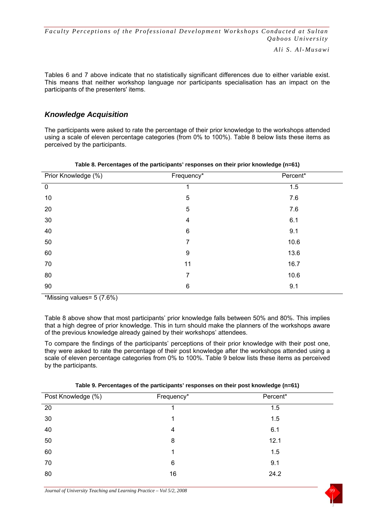Tables 6 and 7 above indicate that no statistically significant differences due to either variable exist. This means that neither workshop language nor participants specialisation has an impact on the participants of the presenters' items.

#### *Knowledge Acquisition*

The participants were asked to rate the percentage of their prior knowledge to the workshops attended using a scale of eleven percentage categories (from 0% to 100%). Table 8 below lists these items as perceived by the participants.

| Prior Knowledge (%) | Frequency*              | Percent* |
|---------------------|-------------------------|----------|
| $\overline{0}$      |                         | 1.5      |
| $10$                | $\mathbf 5$             | 7.6      |
| 20                  | 5                       | 7.6      |
| $30\,$              | $\overline{\mathbf{4}}$ | 6.1      |
| 40                  | $\,6$                   | 9.1      |
| 50                  | 7                       | 10.6     |
| 60                  | 9                       | 13.6     |
| 70                  | 11                      | 16.7     |
| 80                  | 7                       | 10.6     |
| 90                  | $\,6$                   | 9.1      |

#### **Table 8. Percentages of the participants' responses on their prior knowledge (n=61)**

\*Missing values= 5 (7.6%)

Table 8 above show that most participants' prior knowledge falls between 50% and 80%. This implies that a high degree of prior knowledge. This in turn should make the planners of the workshops aware of the previous knowledge already gained by their workshops' attendees.

To compare the findings of the participants' perceptions of their prior knowledge with their post one, they were asked to rate the percentage of their post knowledge after the workshops attended using a scale of eleven percentage categories from 0% to 100%. Table 9 below lists these items as perceived by the participants.

| Post Knowledge (%) | Frequency* | Percent* |  |
|--------------------|------------|----------|--|
| 20                 |            | 1.5      |  |
| 30                 |            | 1.5      |  |
| 40                 | 4          | 6.1      |  |
| 50                 | 8          | 12.1     |  |
| 60                 |            | 1.5      |  |
| 70                 | 6          | 9.1      |  |
| 80                 | 16         | 24.2     |  |

#### **Table 9. Percentages of the participants' responses on their post knowledge (n=61)**

*Journal of University Teaching and Learning Practice – Vol 5/2, 2008* 

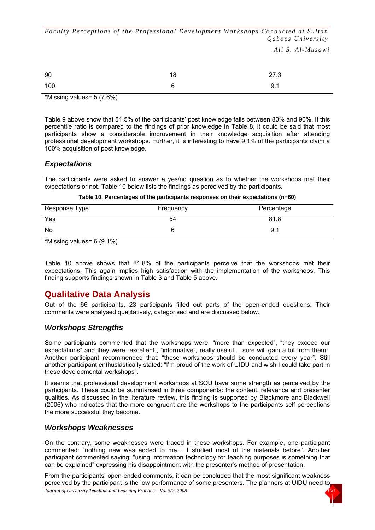*Ali S. Al-Musawi*

| 90  | 18 | 27.3 |
|-----|----|------|
| 100 | 6  | 9.1  |

\*Missing values= 5 (7.6%)

Table 9 above show that 51.5% of the participants' post knowledge falls between 80% and 90%. If this percentile ratio is compared to the findings of prior knowledge in Table 8, it could be said that most participants show a considerable improvement in their knowledge acquisition after attending professional development workshops. Further, it is interesting to have 9.1% of the participants claim a 100% acquisition of post knowledge.

#### *Expectations*

The participants were asked to answer a yes/no question as to whether the workshops met their expectations or not. Table 10 below lists the findings as perceived by the participants.

|  |  | Table 10. Percentages of the participants responses on their expectations (n=60) |
|--|--|----------------------------------------------------------------------------------|
|--|--|----------------------------------------------------------------------------------|

| Response Type | Frequency | Percentage |
|---------------|-----------|------------|
| Yes           | 54        | 81.8       |
| No            |           | 9.1        |

\*Missing values= 6 (9.1%)

Table 10 above shows that 81.8% of the participants perceive that the workshops met their expectations. This again implies high satisfaction with the implementation of the workshops. This finding supports findings shown in Table 3 and Table 5 above.

## **Qualitative Data Analysis**

Out of the 66 participants, 23 participants filled out parts of the open-ended questions. Their comments were analysed qualitatively, categorised and are discussed below.

#### *Workshops Strengths*

Some participants commented that the workshops were: "more than expected", "they exceed our expectations" and they were "excellent", "informative", really useful… sure will gain a lot from them". Another participant recommended that: "these workshops should be conducted every year". Still another participant enthusiastically stated: "I'm proud of the work of UIDU and wish I could take part in these developmental workshops".

It seems that professional development workshops at SQU have some strength as perceived by the participants. These could be summarised in three components: the content, relevance and presenter qualities. As discussed in the literature review, this finding is supported by Blackmore and Blackwell (2006) who indicates that the more congruent are the workshops to the participants self perceptions the more successful they become.

#### *Workshops Weaknesses*

On the contrary, some weaknesses were traced in these workshops. For example, one participant commented: "nothing new was added to me… I studied most of the materials before". Another participant commented saying: "using information technology for teaching purposes is something that can be explained" expressing his disappointment with the presenter's method of presentation.

From the participants' open-ended comments, it can be concluded that the most significant weakness perceived by the participant is the low performance of some presenters. The planners at UIDU need to

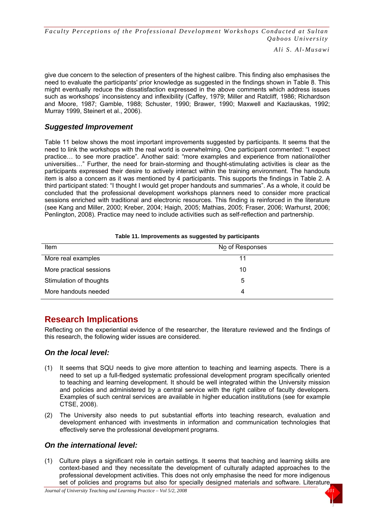*Ali S. Al-Musawi*

give due concern to the selection of presenters of the highest calibre. This finding also emphasises the need to evaluate the participants' prior knowledge as suggested in the findings shown in Table 8. This might eventually reduce the dissatisfaction expressed in the above comments which address issues such as workshops' inconsistency and inflexibility (Caffey, 1979; Miller and Ratcliff, 1986; Richardson and Moore, 1987; Gamble, 1988; Schuster, 1990; Brawer, 1990; Maxwell and Kazlauskas, 1992; Murray 1999, Steinert et al., 2006).

#### *Suggested Improvement*

Table 11 below shows the most important improvements suggested by participants. It seems that the need to link the workshops with the real world is overwhelming. One participant commented: "I expect practice… to see more practice". Another said: "more examples and experience from national/other universities…" Further, the need for brain-storming and thought-stimulating activities is clear as the participants expressed their desire to actively interact within the training environment. The handouts item is also a concern as it was mentioned by 4 participants. This supports the findings in Table 2. A third participant stated: "I thought I would get proper handouts and summaries". As a whole, it could be concluded that the professional development workshops planners need to consider more practical sessions enriched with traditional and electronic resources. This finding is reinforced in the literature (see Kang and Miller, 2000; Kreber, 2004; Haigh, 2005; Mathias, 2005; Fraser, 2006; Warhurst, 2006; Penlington, 2008). Practice may need to include activities such as self-reflection and partnership.

| Item                    | No of Responses |
|-------------------------|-----------------|
| More real examples      | 11              |
| More practical sessions | 10              |
| Stimulation of thoughts | 5               |
| More handouts needed    |                 |

#### **Table 11. Improvements as suggested by participants**

## **Research Implications**

Reflecting on the experiential evidence of the researcher, the literature reviewed and the findings of this research, the following wider issues are considered.

#### *On the local level:*

- (1) It seems that SQU needs to give more attention to teaching and learning aspects. There is a need to set up a full-fledged systematic professional development program specifically oriented to teaching and learning development. It should be well integrated within the University mission and policies and administered by a central service with the right calibre of faculty developers. Examples of such central services are available in higher education institutions (see for example CTSE, 2008).
- (2) The University also needs to put substantial efforts into teaching research, evaluation and development enhanced with investments in information and communication technologies that effectively serve the professional development programs.

#### *On the international level:*

(1) Culture plays a significant role in certain settings. It seems that teaching and learning skills are context-based and they necessitate the development of culturally adapted approaches to the professional development activities. This does not only emphasise the need for more indigenous set of policies and programs but also for specially designed materials and software. Literature

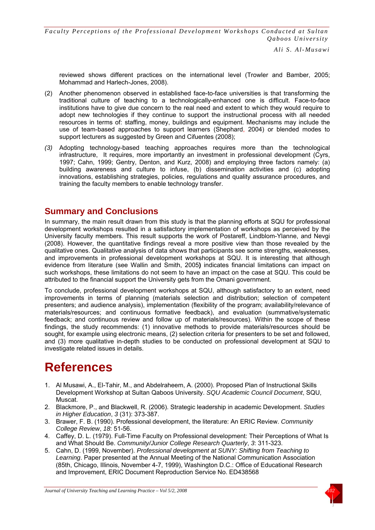*Ali S. Al-Musawi*

reviewed shows different practices on the international level (Trowler and Bamber, 2005; Mohammad and Harlech-Jones, 2008).

- (2) Another phenomenon observed in established face-to-face universities is that transforming the traditional culture of teaching to a technologically-enhanced one is difficult. Face-to-face institutions have to give due concern to the real need and extent to which they would require to adopt new technologies if they continue to support the instructional process with all needed resources in terms of: staffing, money, buildings and equipment. Mechanisms may include the use of team-based approaches to support learners (Shephard, 2004) or blended modes to support lecturers as suggested by Green and Cifuentes (2008);
- *(3)* Adopting technology-based teaching approaches requires more than the technological infrastructure, It requires, more importantly an investment in professional development (Cyrs, 1997; Cahn, 1999; Gentry, Denton, and Kurz, 2008) and employing three factors namely: (a) building awareness and culture to infuse, (b) dissemination activities and (c) adopting innovations, establishing strategies, policies, regulations and quality assurance procedures, and training the faculty members to enable technology transfer.

## **Summary and Conclusions**

In summary, the main result drawn from this study is that the planning efforts at SQU for professional development workshops resulted in a satisfactory implementation of workshops as perceived by the University faculty members. This result supports the work of Postareff, Lindblom-Ylanne, and Nevgi (2008). However, the quantitative findings reveal a more positive view than those revealed by the qualitative ones. Qualitative analysis of data shows that participants see some strengths, weaknesses, and improvements in professional development workshops at SQU. It is interesting that although evidence from literature (see Wallin and Smith, 2005**)** indicates financial limitations can impact on such workshops, these limitations do not seem to have an impact on the case at SQU. This could be attributed to the financial support the University gets from the Omani government.

To conclude, professional development workshops at SQU, although satisfactory to an extent, need improvements in terms of planning (materials selection and distribution; selection of competent presenters; and audience analysis), implementation (flexibility of the program; availability/relevance of materials/resources; and continuous formative feedback), and evaluation (summative/systematic feedback; and continuous review and follow up of materials/resources). Within the scope of these findings, the study recommends: (1) innovative methods to provide materials/resources should be sought, for example using electronic means, (2) selection criteria for presenters to be set and followed, and (3) more qualitative in-depth studies to be conducted on professional development at SQU to investigate related issues in details.

# **References**

- 1. Al Musawi, A., El-Tahir, M., and Abdelraheem, A. (2000). Proposed Plan of Instructional Skills Development Workshop at Sultan Qaboos University. *SQU Academic Council Document*, SQU, Muscat.
- 2. Blackmore, P., and Blackwell, R. (2006). Strategic leadership in academic Development. *Studies in Higher Education*, *3* (31): 373-387.
- 3. Brawer, F. B. (1990). Professional development, the literature: An ERIC Review. *Community College Review*, *18*: 51-56.
- 4. Caffey, D. L. (1979). Full-Time Faculty on Professional development: Their Perceptions of What Is and What Should Be. *Community/Junior College Research Quarterly*, *3*: 311-323.
- 5. Cahn, D. (1999, November). *Professional development at SUNY: Shifting from Teaching to Learning*. Paper presented at the Annual Meeting of the National Communication Association (85th, Chicago, Illinois, November 4-7, 1999), Washington D.C.: Office of Educational Research and Improvement, ERIC Document Reproduction Service No. ED438568

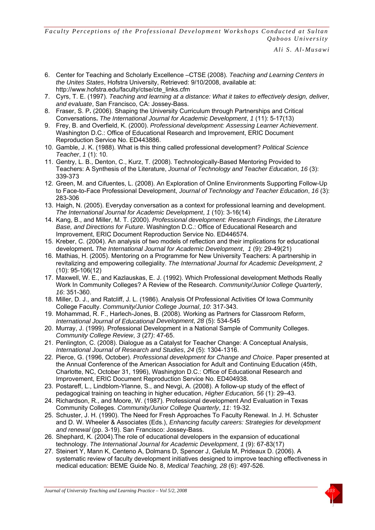- 6. Center for Teaching and Scholarly Excellence –CTSE (2008). *Teaching and Learning Centers in the Unites States*, Hofstra University, Retrieved: 9/10/2008, available at: http://www.hofstra.edu/faculty/ctse/cte\_links.cfm
- 7. Cyrs, T. E. (1997). *Teaching and learning at a distance: What it takes to effectively design, deliver, and evaluate*, San Francisco, CA: Jossey-Bass.
- 8. Fraser, S. P**.** (2006). Shaping the University Curriculum through Partnerships and Critical Conversations**.** *The International Journal for Academic Development*, *1* (11): 5-17(13)
- 9. Frey, B. and Overfield, K. (2000). *Professional development: Assessing Learner Achievement*. Washington D.C.: Office of Educational Research and Improvement, ERIC Document Reproduction Service No. ED443886.
- 10. Gamble, J. K. (1988). What is this thing called professional development? *Political Science Teacher*, *1* (1): 10.
- 11. Gentry, L. B., Denton, C., Kurz, T. (2008). Technologically-Based Mentoring Provided to Teachers: A Synthesis of the Literature, *Journal of Technology and Teacher Education*, *16* (3): 339-373
- 12. Green, M. and Cifuentes, L. (2008). An Exploration of Online Environments Supporting Follow-Up to Face-to-Face Professional Development, *Journal of Technology and Teacher Education*, *16* (3): 283-306
- 13. Haigh, N. (2005). Everyday conversation as a context for professional learning and development. *The International Journal for Academic Development*, *1* (10): 3-16(14)
- 14. Kang, B., and Miller, M. T. (2000). *Professional development: Research Findings, the Literature Base, and Directions for Future*. Washington D.C.: Office of Educational Research and Improvement, ERIC Document Reproduction Service No. ED446574.
- 15. Kreber, C. (2004). An analysis of two models of reflection and their implications for educational development**.** *The International Journal for Academic Development*, *1* (9): 29-49(21)
- 16. Mathias, H. (2005). Mentoring on a Programme for New University Teachers: A partnership in revitalizing and empowering collegiality. *The International Journal for Academic Development*, *2* (10): 95-106(12)
- 17. Maxwell, W. E., and Kazlauskas, E. J. (1992). Which Professional development Methods Really Work In Community Colleges? A Review of the Research. *Community/Junior College Quarterly*, *16*: 351-360.
- 18. Miller, D. J., and Ratcliff, J. L. (1986). Analysis Of Professional Activities Of Iowa Community College Faculty. *Community/Junior College Journal*, *10*: 317-343.
- 19. Mohammad, R. F., Harlech-Jones, B. (2008). Working as Partners for Classroom Reform, *International Journal of Educational Development*, *28* (5): 534-545
- 20. Murray, J. (1999). Professional Development in a National Sample of Community Colleges. *Community College Review*, *3* (27*)*: 47-65.
- 21. Penlington, C. (2008). Dialogue as a Catalyst for Teacher Change: A Conceptual Analysis, *International Journal of Research and Studies*, *24* (5): 1304-1316.
- 22. Pierce, G. (1996, October). *Professional development for Change and Choice*. Paper presented at the Annual Conference of the American Association for Adult and Continuing Education (45th, Charlotte, NC, October 31, 1996), Washington D.C.: Office of Educational Research and Improvement, ERIC Document Reproduction Service No. ED404938.
- 23. Postareff, L., Lindblom-Ylanne, S., and Nevgi, A. (2008). A follow-up study of the effect of pedagogical training on teaching in higher education, *Higher Education, 56* (1): 29–43.
- 24. Richardson, R., and Moore, W. (1987). Professional development And Evaluation in Texas Community Colleges. *Community/Junior College Quarterly*, *11*: 19-32.
- 25. Schuster, J. H. (1990). The Need for Fresh Approaches To Faculty Renewal. In J. H. Schuster and D. W. Wheeler & Associates (Eds.), *Enhancing faculty careers: Strategies for development and renewal* (pp. 3-19). San Francisco: Jossey-Bass.
- 26. Shephard, K. (2004).The role of educational developers in the expansion of educational technology. *The International Journal for Academic Development*, *1* (9): 67-83(17)
- 27. Steinert Y, Mann K, Centeno A, Dolmans D, Spencer J, Gelula M, Prideaux D. (2006). A systematic review of faculty development initiatives designed to improve teaching effectiveness in medical education: BEME Guide No. 8, *Medical Teaching, 28* (6): 497-526.